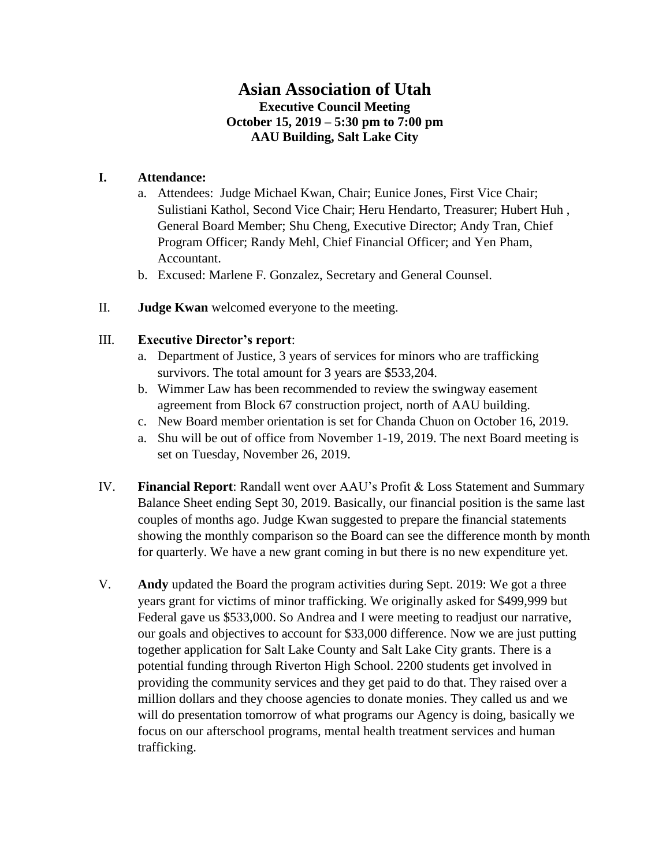# **Asian Association of Utah Executive Council Meeting October 15, 2019 – 5:30 pm to 7:00 pm AAU Building, Salt Lake City**

## **I. Attendance:**

- a. Attendees: Judge Michael Kwan, Chair; Eunice Jones, First Vice Chair; Sulistiani Kathol, Second Vice Chair; Heru Hendarto, Treasurer; Hubert Huh , General Board Member; Shu Cheng, Executive Director; Andy Tran, Chief Program Officer; Randy Mehl, Chief Financial Officer; and Yen Pham, Accountant.
- b. Excused: Marlene F. Gonzalez, Secretary and General Counsel.
- II. **Judge Kwan** welcomed everyone to the meeting.

#### III. **Executive Director's report**:

- a. Department of Justice, 3 years of services for minors who are trafficking survivors. The total amount for 3 years are \$533,204.
- b. Wimmer Law has been recommended to review the swingway easement agreement from Block 67 construction project, north of AAU building.
- c. New Board member orientation is set for Chanda Chuon on October 16, 2019.
- a. Shu will be out of office from November 1-19, 2019. The next Board meeting is set on Tuesday, November 26, 2019.
- IV. **Financial Report**: Randall went over AAU's Profit & Loss Statement and Summary Balance Sheet ending Sept 30, 2019. Basically, our financial position is the same last couples of months ago. Judge Kwan suggested to prepare the financial statements showing the monthly comparison so the Board can see the difference month by month for quarterly. We have a new grant coming in but there is no new expenditure yet.
- V. **Andy** updated the Board the program activities during Sept. 2019: We got a three years grant for victims of minor trafficking. We originally asked for \$499,999 but Federal gave us \$533,000. So Andrea and I were meeting to readjust our narrative, our goals and objectives to account for \$33,000 difference. Now we are just putting together application for Salt Lake County and Salt Lake City grants. There is a potential funding through Riverton High School. 2200 students get involved in providing the community services and they get paid to do that. They raised over a million dollars and they choose agencies to donate monies. They called us and we will do presentation tomorrow of what programs our Agency is doing, basically we focus on our afterschool programs, mental health treatment services and human trafficking.